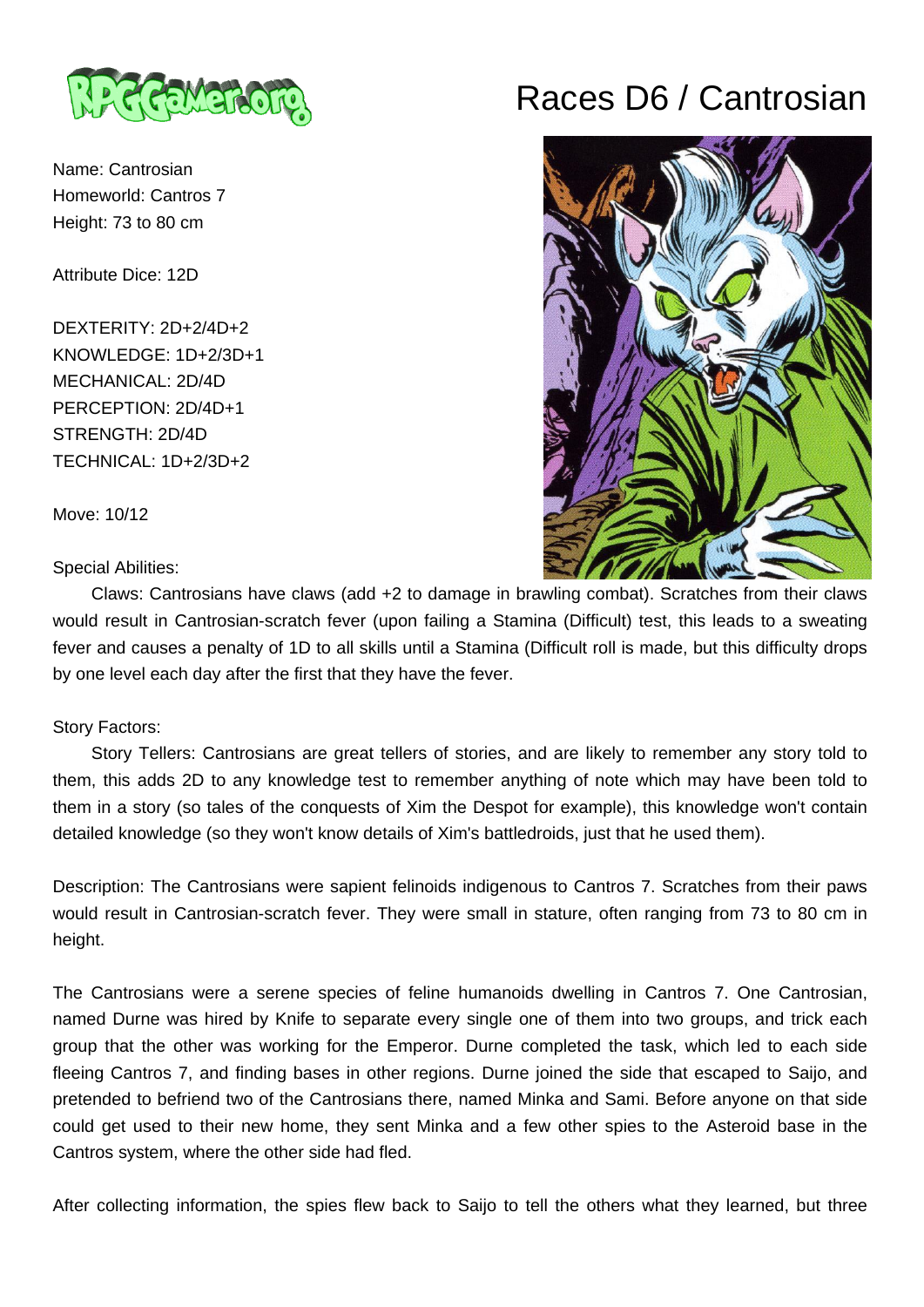

Name: Cantrosian Homeworld: Cantros 7 Height: 73 to 80 cm

Attribute Dice: 12D

DEXTERITY: 2D+2/4D+2 KNOWLEDGE: 1D+2/3D+1 MECHANICAL: 2D/4D PERCEPTION: 2D/4D+1 STRENGTH: 2D/4D TECHNICAL: 1D+2/3D+2

Move: 10/12

Special Abilities:

Races D6 / Cantrosian



 Claws: Cantrosians have claws (add +2 to damage in brawling combat). Scratches from their claws would result in Cantrosian-scratch fever (upon failing a Stamina (Difficult) test, this leads to a sweating fever and causes a penalty of 1D to all skills until a Stamina (Difficult roll is made, but this difficulty drops by one level each day after the first that they have the fever.

## Story Factors:

 Story Tellers: Cantrosians are great tellers of stories, and are likely to remember any story told to them, this adds 2D to any knowledge test to remember anything of note which may have been told to them in a story (so tales of the conquests of Xim the Despot for example), this knowledge won't contain detailed knowledge (so they won't know details of Xim's battledroids, just that he used them).

Description: The Cantrosians were sapient felinoids indigenous to Cantros 7. Scratches from their paws would result in Cantrosian-scratch fever. They were small in stature, often ranging from 73 to 80 cm in height.

The Cantrosians were a serene species of feline humanoids dwelling in Cantros 7. One Cantrosian, named Durne was hired by Knife to separate every single one of them into two groups, and trick each group that the other was working for the Emperor. Durne completed the task, which led to each side fleeing Cantros 7, and finding bases in other regions. Durne joined the side that escaped to Saijo, and pretended to befriend two of the Cantrosians there, named Minka and Sami. Before anyone on that side could get used to their new home, they sent Minka and a few other spies to the Asteroid base in the Cantros system, where the other side had fled.

After collecting information, the spies flew back to Saijo to tell the others what they learned, but three